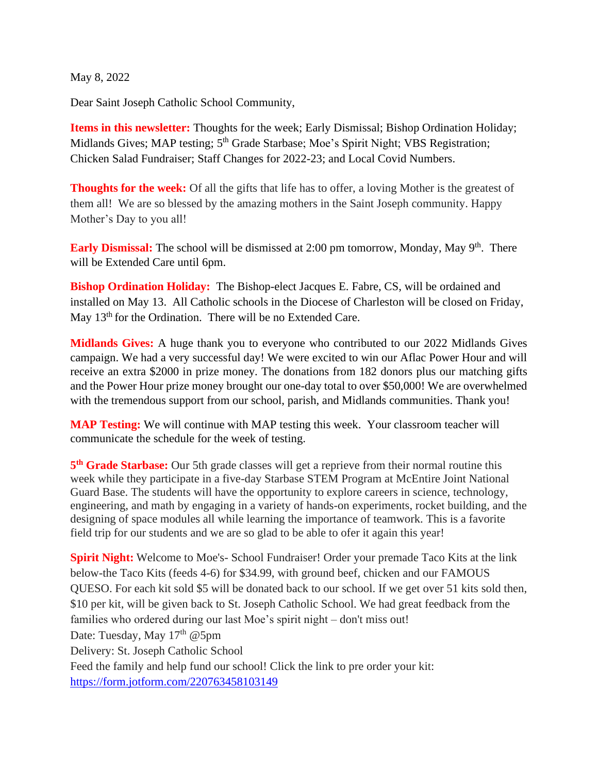May 8, 2022

Dear Saint Joseph Catholic School Community,

**Items in this newsletter:** Thoughts for the week; Early Dismissal; Bishop Ordination Holiday; Midlands Gives; MAP testing; 5<sup>th</sup> Grade Starbase; Moe's Spirit Night; VBS Registration; Chicken Salad Fundraiser; Staff Changes for 2022-23; and Local Covid Numbers.

**Thoughts for the week:** Of all the gifts that life has to offer, a loving Mother is the greatest of them all! We are so blessed by the amazing mothers in the Saint Joseph community. Happy Mother's Day to you all!

Early Dismissal: The school will be dismissed at 2:00 pm tomorrow, Monday, May 9<sup>th</sup>. There will be Extended Care until 6pm.

**Bishop Ordination Holiday:** The Bishop-elect Jacques E. Fabre, CS, will be ordained and installed on May 13. All Catholic schools in the Diocese of Charleston will be closed on Friday, May 13<sup>th</sup> for the Ordination. There will be no Extended Care.

**Midlands Gives:** A huge thank you to everyone who contributed to our 2022 Midlands Gives campaign. We had a very successful day! We were excited to win our Aflac Power Hour and will receive an extra \$2000 in prize money. The donations from 182 donors plus our matching gifts and the Power Hour prize money brought our one-day total to over \$50,000! We are overwhelmed with the tremendous support from our school, parish, and Midlands communities. Thank you!

**MAP Testing:** We will continue with MAP testing this week. Your classroom teacher will communicate the schedule for the week of testing.

**5 th Grade Starbase:** Our 5th grade classes will get a reprieve from their normal routine this week while they participate in a five-day Starbase STEM Program at McEntire Joint National Guard Base. The students will have the opportunity to explore careers in science, technology, engineering, and math by engaging in a variety of hands-on experiments, rocket building, and the designing of space modules all while learning the importance of teamwork. This is a favorite field trip for our students and we are so glad to be able to ofer it again this year!

**Spirit Night:** Welcome to Moe's- School Fundraiser! Order your premade Taco Kits at the link below-the Taco Kits (feeds 4-6) for \$34.99, with ground beef, chicken and our FAMOUS QUESO. For each kit sold \$5 will be donated back to our school. If we get over 51 kits sold then, \$10 per kit, will be given back to St. Joseph Catholic School. We had great feedback from the families who ordered during our last Moe's spirit night – don't miss out! Date: Tuesday, May  $17<sup>th</sup>$  @5pm Delivery: St. Joseph Catholic School Feed the family and help fund our school! Click the link to pre order your kit: <https://form.jotform.com/220763458103149>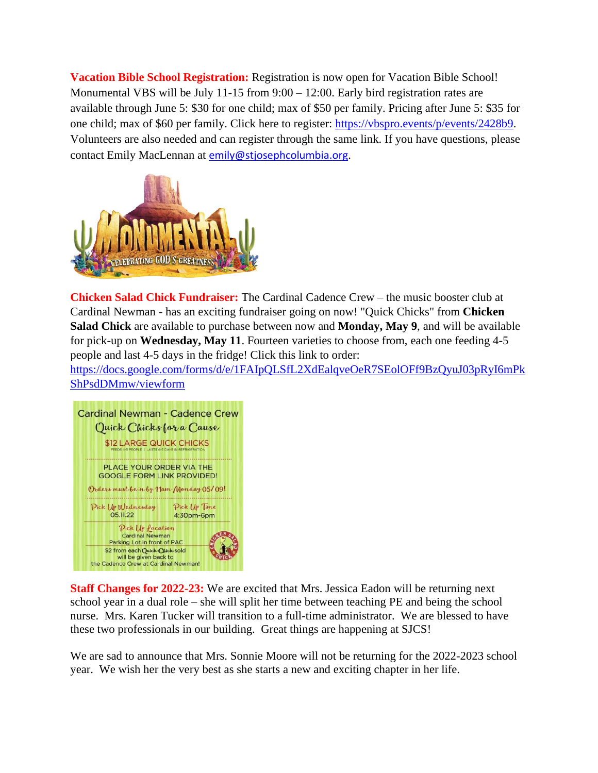**Vacation Bible School Registration:** Registration is now open for Vacation Bible School! Monumental VBS will be July 11-15 from 9:00 – 12:00. Early bird registration rates are available through June 5: \$30 for one child; max of \$50 per family. Pricing after June 5: \$35 for one child; max of \$60 per family. Click here to register: [https://vbspro.events/p/events/2428b9.](https://vbspro.events/p/events/2428b9) Volunteers are also needed and can register through the same link. If you have questions, please contact Emily MacLennan at **[emily@stjosephcolumbia.org](mailto:emily@stjosephcolumbia.org).** 



**Chicken Salad Chick Fundraiser:** The Cardinal Cadence Crew – the music booster club at Cardinal Newman - has an exciting fundraiser going on now! "Quick Chicks" from **Chicken Salad Chick** are available to purchase between now and **Monday, May 9**, and will be available for pick-up on **Wednesday, May 11**. Fourteen varieties to choose from, each one feeding 4-5 people and last 4-5 days in the fridge! Click this link to order:

[https://docs.google.com/forms/d/e/1FAIpQLSfL2XdEalqveOeR7SEolOFf9BzQyuJ03pRyI6mPk](https://docs.google.com/forms/d/e/1FAIpQLSfL2XdEalqveOeR7SEolOFf9BzQyuJ03pRyI6mPkShPsdDMmw/viewform) [ShPsdDMmw/viewform](https://docs.google.com/forms/d/e/1FAIpQLSfL2XdEalqveOeR7SEolOFf9BzQyuJ03pRyI6mPkShPsdDMmw/viewform)



**Staff Changes for 2022-23:** We are excited that Mrs. Jessica Eadon will be returning next school year in a dual role – she will split her time between teaching PE and being the school nurse. Mrs. Karen Tucker will transition to a full-time administrator. We are blessed to have these two professionals in our building. Great things are happening at SJCS!

We are sad to announce that Mrs. Sonnie Moore will not be returning for the 2022-2023 school year. We wish her the very best as she starts a new and exciting chapter in her life.